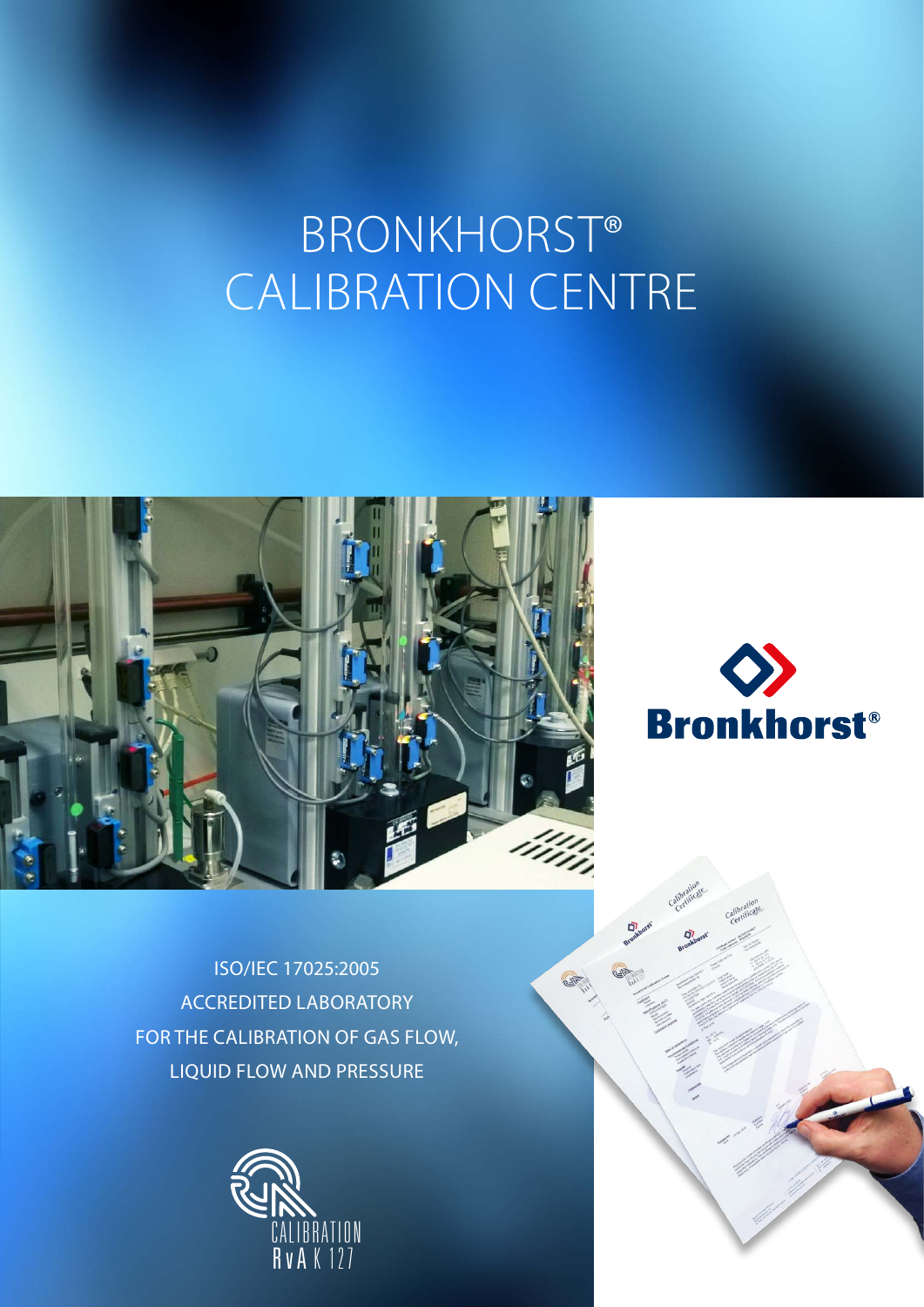# BRONKHORST® CALIBRATION CENTRE





**RATTER** 

ISO/IEC 17025:2005 ACCREDITED LABORATORY FOR THE CALIBRATION OF GAS FLOW, LIQUID FLOW AND PRESSURE

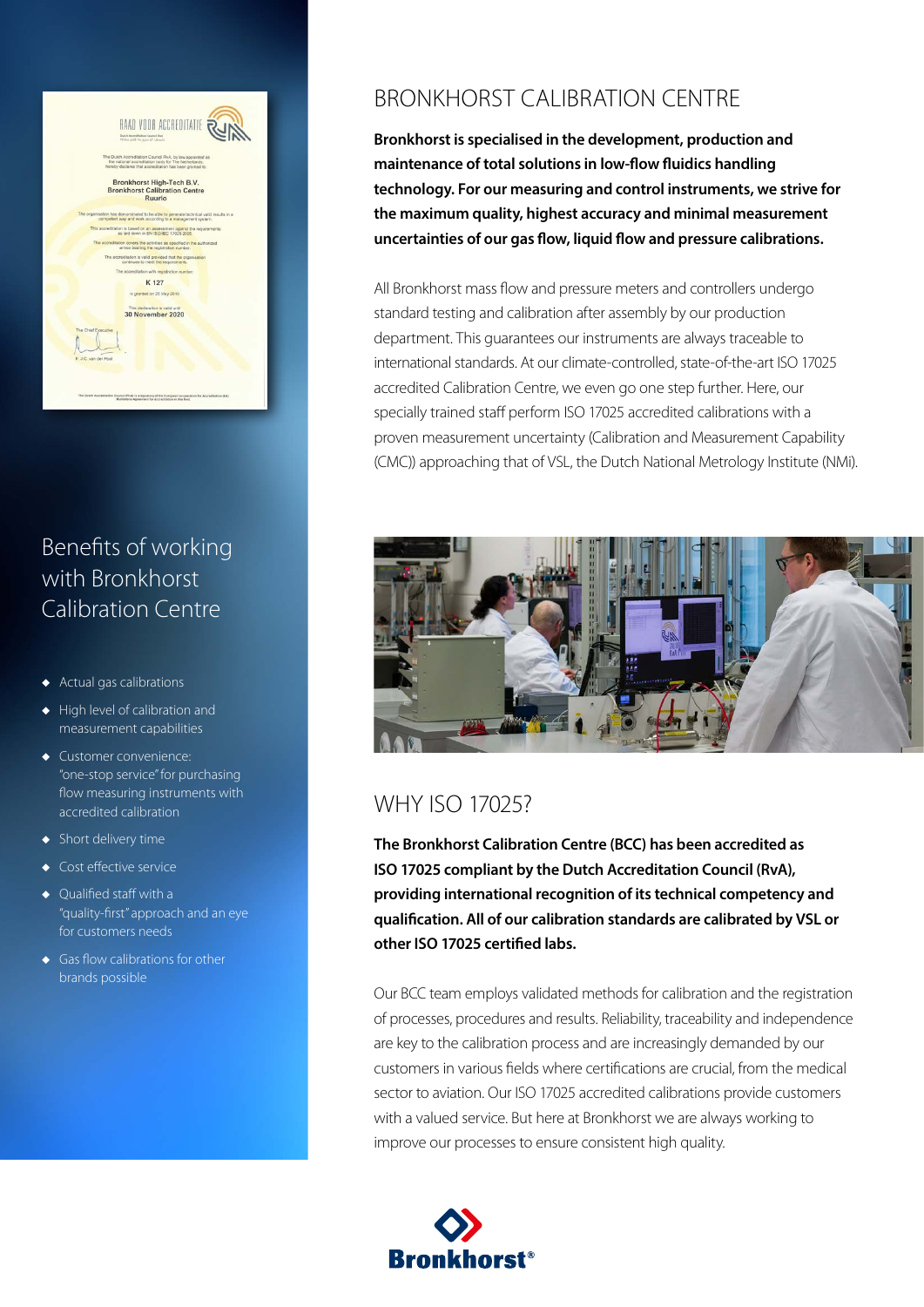

# Benefits of working with Bronkhorst Calibration Centre

- Actual gas calibrations
- $\leftrightarrow$  High level of calibration and measurement capabilities
- $\blacklozenge$  Customer convenience: "one-stop service" for purchasing flow measuring instruments with accredited calibration
- $\blacklozenge$  Short delivery time
- $\leftarrow$  Cost effective service
- $\bullet$  Qualified staff with a "quality-first" approach and an eye for customers needs
- $\leftarrow$  Gas flow calibrations for other brands possible

## BRONKHORST CALIBRATION CENTRE

**Bronkhorst is specialised in the development, production and maintenance of total solutions in low-flow fluidics handling technology. For our measuring and control instruments, we strive for the maximum quality, highest accuracy and minimal measurement uncertainties of our gas flow, liquid flow and pressure calibrations.**

All Bronkhorst mass flow and pressure meters and controllers undergo standard testing and calibration after assembly by our production department. This guarantees our instruments are always traceable to international standards. At our climate-controlled, state-of-the-art ISO 17025 accredited Calibration Centre, we even go one step further. Here, our specially trained staff perform ISO 17025 accredited calibrations with a proven measurement uncertainty (Calibration and Measurement Capability (CMC)) approaching that of VSL, the Dutch National Metrology Institute (NMi).



## WHY ISO 17025?

**The Bronkhorst Calibration Centre (BCC) has been accredited as ISO 17025 compliant by the Dutch Accreditation Council (RvA), providing international recognition of its technical competency and qualification. All of our calibration standards are calibrated by VSL or other ISO 17025 certified labs.**

Our BCC team employs validated methods for calibration and the registration of processes, procedures and results. Reliability, traceability and independence are key to the calibration process and are increasingly demanded by our customers in various fields where certifications are crucial, from the medical sector to aviation. Our ISO 17025 accredited calibrations provide customers with a valued service. But here at Bronkhorst we are always working to improve our processes to ensure consistent high quality.

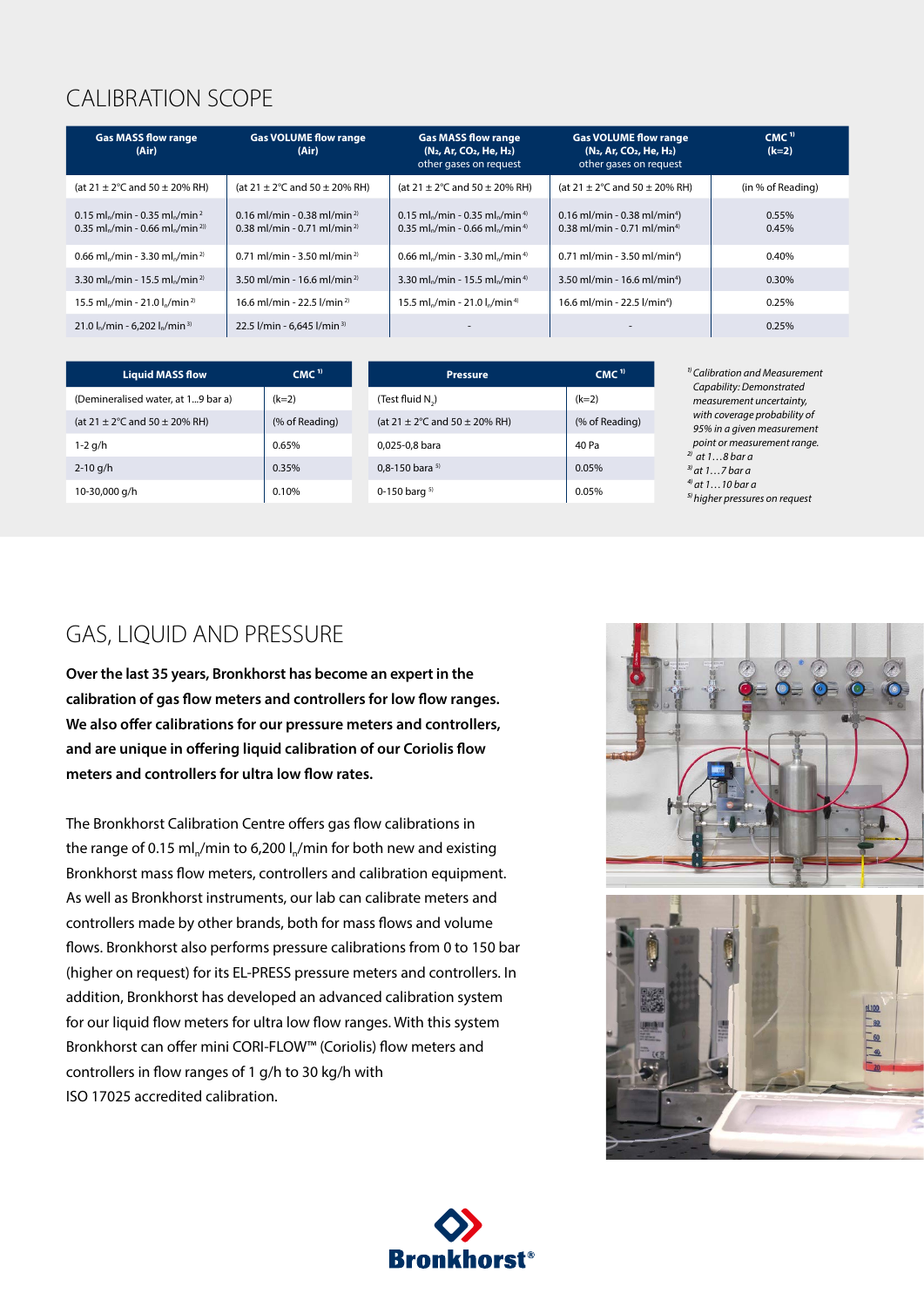# CALIBRATION SCOPE

| <b>Gas MASS flow range</b><br>(Air)                                                    | <b>Gas VOLUME flow range</b><br>(Air)                                                | <b>Gas MASS flow range</b><br>(N <sub>2</sub> , Ar, CO <sub>2</sub> , He, H <sub>2</sub> )<br>other gases on request                       | <b>Gas VOLUME flow range</b><br>(N <sub>2</sub> , Ar, CO <sub>2</sub> , He, H <sub>2</sub> )<br>other gases on request | CMC <sup>1</sup><br>$(k=2)$ |
|----------------------------------------------------------------------------------------|--------------------------------------------------------------------------------------|--------------------------------------------------------------------------------------------------------------------------------------------|------------------------------------------------------------------------------------------------------------------------|-----------------------------|
| (at $21 \pm 2^{\circ}$ C and $50 \pm 20\%$ RH)                                         | (at $21 \pm 2^{\circ}$ C and $50 \pm 20\%$ RH)                                       | (at $21 \pm 2^{\circ}$ C and $50 \pm 20\%$ RH)                                                                                             | (at $21 \pm 2^{\circ}$ C and $50 \pm 20\%$ RH)                                                                         | (in % of Reading)           |
| 0.15 ml./min - 0.35 ml./min <sup>2</sup><br>0.35 ml./min - 0.66 ml./min <sup>2))</sup> | 0.16 ml/min - 0.38 ml/min <sup>2)</sup><br>$0.38$ ml/min - 0.71 ml/min <sup>2)</sup> | 0.15 ml <sub>n</sub> /min - 0.35 ml <sub>n</sub> /min <sup>4)</sup><br>0.35 ml <sub>2</sub> /min - 0.66 ml <sub>2</sub> /min <sup>4)</sup> | $0.16$ ml/min - 0.38 ml/min <sup>4</sup> )<br>$0.38$ ml/min - 0.71 ml/min <sup>4)</sup>                                | 0.55%<br>0.45%              |
| 0.66 ml./min - 3.30 ml./min <sup>2)</sup>                                              | $0.71$ ml/min - 3.50 ml/min <sup>2)</sup>                                            | 0.66 ml./min - 3.30 ml./min <sup>4)</sup>                                                                                                  | $0.71$ ml/min - 3.50 ml/min <sup>4</sup> )                                                                             | 0.40%                       |
| 3.30 ml <sub>n</sub> /min - 15.5 ml <sub>n</sub> /min <sup>2)</sup>                    | 3.50 ml/min - 16.6 ml/min <sup>2)</sup>                                              | 3.30 ml <sub>n</sub> /min - 15.5 ml <sub>n</sub> /min <sup>4)</sup>                                                                        | $3.50$ ml/min - 16.6 ml/min <sup>4</sup> )                                                                             | 0.30%                       |
| 15.5 ml./min - 21.0 l./min <sup>2)</sup>                                               | 16.6 ml/min - 22.5 l/min <sup>2)</sup>                                               | 15.5 ml,/min - 21.0 l,/min <sup>4)</sup>                                                                                                   | 16.6 ml/min - 22.5 l/min <sup>4</sup> )                                                                                | 0.25%                       |
| 21.0 l./min - 6.202 l./min <sup>3)</sup>                                               | 22.5 $I/min - 6.645 I/min^3$                                                         |                                                                                                                                            |                                                                                                                        | 0.25%                       |

| <b>Liquid MASS flow</b>                        | CMC <sup>1</sup> | <b>Pressure</b>                                | CMC <sup>1</sup> |
|------------------------------------------------|------------------|------------------------------------------------|------------------|
| (Demineralised water, at 19 bar a)             | $(k=2)$          | (Test fluid N)                                 | $(k=2)$          |
| (at $21 \pm 2^{\circ}$ C and $50 \pm 20\%$ RH) | (% of Reading)   | (at $21 \pm 2^{\circ}$ C and $50 \pm 20\%$ RH) | (% of Reading)   |
| $1-2$ g/h                                      | 0.65%            | 0,025-0,8 bara                                 | 40 Pa            |
| $2 - 10$ g/h                                   | 0.35%            | 0,8-150 bara $5$                               | 0.05%            |
| 10-30,000 g/h                                  | 0.10%            | 0-150 barg $5$                                 | 0.05%            |

*1⁾ Calibration and Measurement Capability: Demonstrated measurement uncertainty, with coverage probability of 95% in a given measurement point or measurement range. 2⁾ at 1…8 bar a 3⁾ at 1…7 bar a ⁴⁾ at 1…10 bar a ⁵⁾ higher pressures on request*

## GAS, LIQUID AND PRESSURE

**Over the last 35 years, Bronkhorst has become an expert in the calibration of gas flow meters and controllers for low flow ranges. We also offer calibrations for our pressure meters and controllers, and are unique in offering liquid calibration of our Coriolis flow meters and controllers for ultra low flow rates.**

The Bronkhorst Calibration Centre offers gas flow calibrations in the range of 0.15 ml<sub>n</sub>/min to 6,200 l<sub>n</sub>/min for both new and existing Bronkhorst mass flow meters, controllers and calibration equipment. As well as Bronkhorst instruments, our lab can calibrate meters and controllers made by other brands, both for mass flows and volume flows. Bronkhorst also performs pressure calibrations from 0 to 150 bar (higher on request) for its EL-PRESS pressure meters and controllers. In addition, Bronkhorst has developed an advanced calibration system for our liquid flow meters for ultra low flow ranges. With this system Bronkhorst can offer mini CORI-FLOW™ (Coriolis) flow meters and controllers in flow ranges of 1 g/h to 30 kg/h with ISO 17025 accredited calibration.